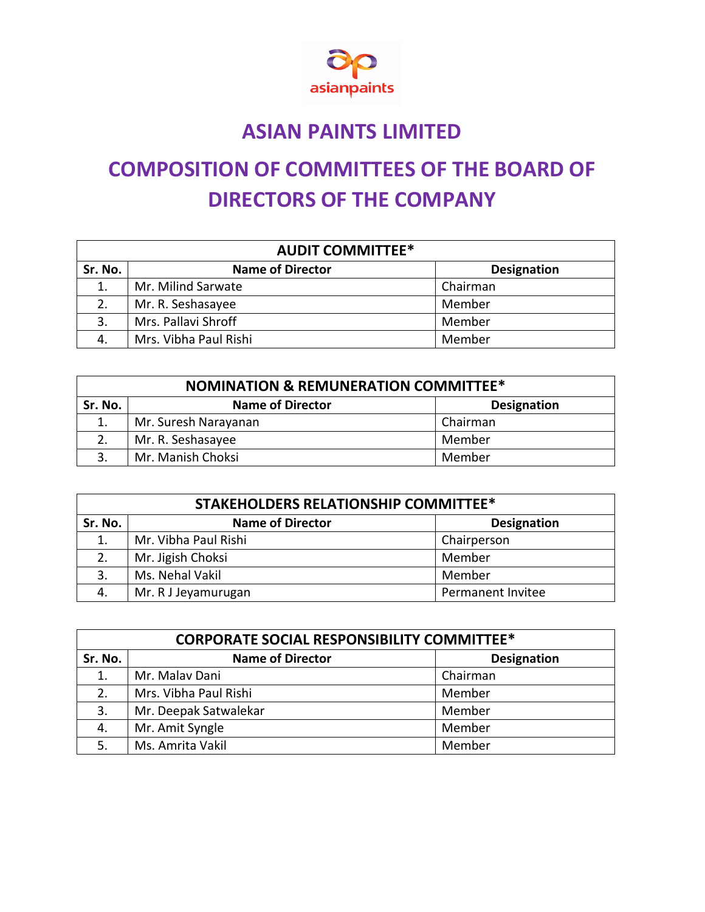

## **ASIAN PAINTS LIMITED**

## **COMPOSITION OF COMMITTEES OF THE BOARD OF DIRECTORS OF THE COMPANY**

| <b>AUDIT COMMITTEE*</b> |                         |                    |  |
|-------------------------|-------------------------|--------------------|--|
| Sr. No.                 | <b>Name of Director</b> | <b>Designation</b> |  |
| 1.                      | Mr. Milind Sarwate      | Chairman           |  |
|                         | Mr. R. Seshasayee       | Member             |  |
| 3.                      | Mrs. Pallavi Shroff     | Member             |  |
| 4.                      | Mrs. Vibha Paul Rishi   | Member             |  |

| <b>NOMINATION &amp; REMUNERATION COMMITTEE*</b> |                         |                    |  |
|-------------------------------------------------|-------------------------|--------------------|--|
| Sr. No.                                         | <b>Name of Director</b> | <b>Designation</b> |  |
|                                                 | Mr. Suresh Narayanan    | Chairman           |  |
| 2.                                              | Mr. R. Seshasayee       | Member             |  |
| २                                               | Mr. Manish Choksi       | Member             |  |

| <b>STAKEHOLDERS RELATIONSHIP COMMITTEE*</b> |                         |                    |  |
|---------------------------------------------|-------------------------|--------------------|--|
| Sr. No.                                     | <b>Name of Director</b> | <b>Designation</b> |  |
| 1.                                          | Mr. Vibha Paul Rishi    | Chairperson        |  |
| 2.                                          | Mr. Jigish Choksi       | Member             |  |
| 3.                                          | Ms. Nehal Vakil         | Member             |  |
| 4.                                          | Mr. R J Jeyamurugan     | Permanent Invitee  |  |

| <b>CORPORATE SOCIAL RESPONSIBILITY COMMITTEE*</b> |                         |                    |  |
|---------------------------------------------------|-------------------------|--------------------|--|
| Sr. No.                                           | <b>Name of Director</b> | <b>Designation</b> |  |
| 1.                                                | Mr. Malav Dani          | Chairman           |  |
| 2.                                                | Mrs. Vibha Paul Rishi   | Member             |  |
| 3.                                                | Mr. Deepak Satwalekar   | Member             |  |
| 4.                                                | Mr. Amit Syngle         | Member             |  |
|                                                   | Ms. Amrita Vakil        | Member             |  |